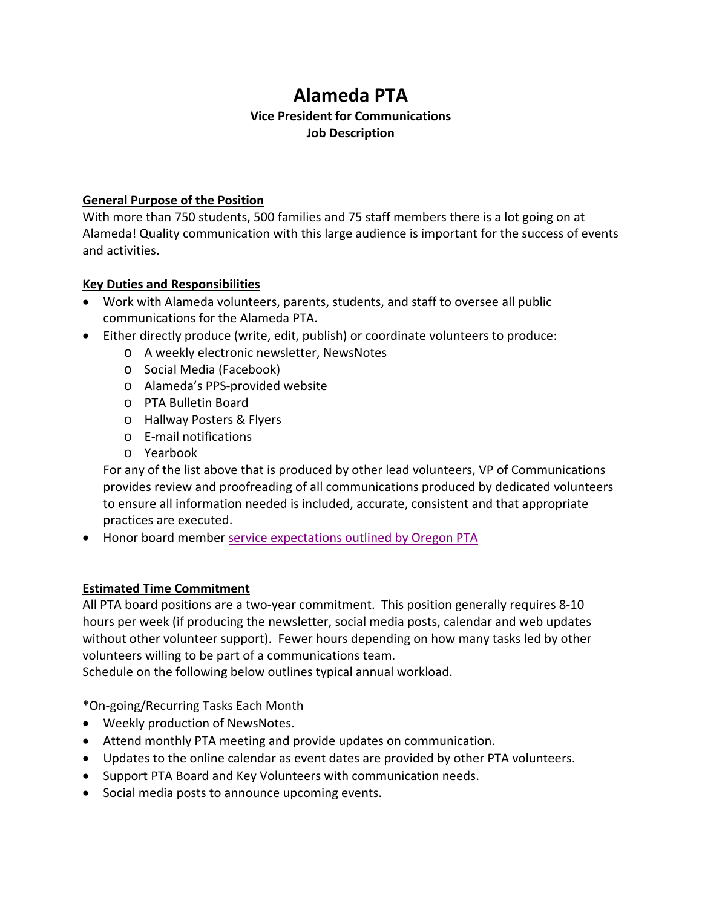## **Alameda PTA Vice President for Communications Job Description**

## **General Purpose of the Position**

With more than 750 students, 500 families and 75 staff members there is a lot going on at Alameda! Quality communication with this large audience is important for the success of events and activities.

## **Key Duties and Responsibilities**

- Work with Alameda volunteers, parents, students, and staff to oversee all public communications for the Alameda PTA.
- Either directly produce (write, edit, publish) or coordinate volunteers to produce:
	- o A weekly electronic newsletter, NewsNotes
	- o Social Media (Facebook)
	- o Alameda's PPS-provided website
	- o PTA Bulletin Board
	- o Hallway Posters & Flyers
	- o E-mail notifications
	- o Yearbook

For any of the list above that is produced by other lead volunteers, VP of Communications provides review and proofreading of all communications produced by dedicated volunteers to ensure all information needed is included, accurate, consistent and that appropriate practices are executed.

• Honor board member [service expectations outlined by Oregon PTA](https://www.oregonpta.org/assets/pages/files/Full_Officers_Manual_2017.pdf)

## **Estimated Time Commitment**

All PTA board positions are a two-year commitment. This position generally requires 8-10 hours per week (if producing the newsletter, social media posts, calendar and web updates without other volunteer support). Fewer hours depending on how many tasks led by other volunteers willing to be part of a communications team.

Schedule on the following below outlines typical annual workload.

\*On-going/Recurring Tasks Each Month

- Weekly production of NewsNotes.
- Attend monthly PTA meeting and provide updates on communication.
- Updates to the online calendar as event dates are provided by other PTA volunteers.
- Support PTA Board and Key Volunteers with communication needs.
- Social media posts to announce upcoming events.